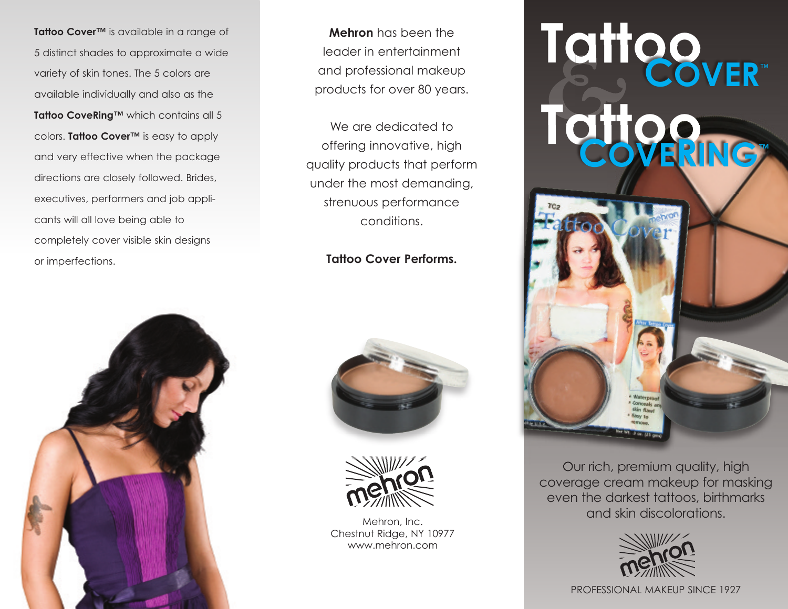**Tattoo Cover™** is available in a range of 5 distinct shades to approximate a wide variety of skin tones. The 5 colors are available individually and also as the **Tattoo CoveRing™** which contains all 5 colors. **Tattoo Cover™** is easy to apply and very effective when the package directions are closely followed. Brides, executives, performers and job applicants will all love being able to completely cover visible skin designs or imperfections.



**Mehron** has been the leader in entertainment and professional makeup products for over 80 years.

We are dedicated to offering innovative, high quality products that perform under the most demanding, strenuous performance conditions.

## **Tattoo Cover Performs.**





Mehron, Inc. Chestnut Ridge, NY 10977 www.mehron.com



Our rich, premium quality, high coverage cream makeup for masking even the darkest tattoos, birthmarks and skin discolorations.



PROFESSIONAL MAKEUP SINCE 1927